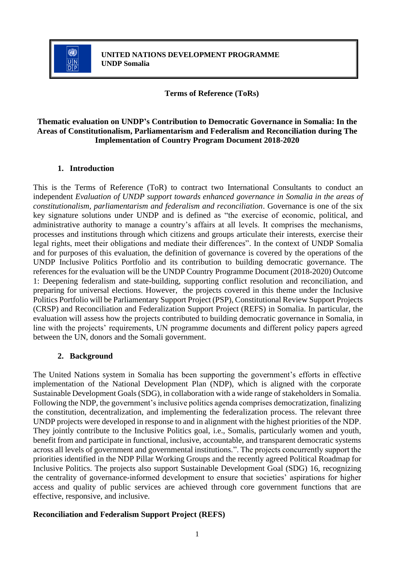

**Terms of Reference (ToRs)**

## **Thematic evaluation on UNDP's Contribution to Democratic Governance in Somalia: In the Areas of Constitutionalism, Parliamentarism and Federalism and Reconciliation during The Implementation of Country Program Document 2018-2020**

## **1. Introduction**

This is the Terms of Reference (ToR) to contract two International Consultants to conduct an independent *Evaluation of UNDP support towards enhanced governance in Somalia in the areas of constitutionalism, parliamentarism and federalism and reconciliation*. Governance is one of the six key signature solutions under UNDP and is defined as "the exercise of economic, political, and administrative authority to manage a country's affairs at all levels. It comprises the mechanisms, processes and institutions through which citizens and groups articulate their interests, exercise their legal rights, meet their obligations and mediate their differences". In the context of UNDP Somalia and for purposes of this evaluation, the definition of governance is covered by the operations of the UNDP Inclusive Politics Portfolio and its contribution to building democratic governance. The references for the evaluation will be the UNDP Country Programme Document (2018-2020) Outcome 1: Deepening federalism and state-building, supporting conflict resolution and reconciliation, and preparing for universal elections. However, the projects covered in this theme under the Inclusive Politics Portfolio will be Parliamentary Support Project (PSP), Constitutional Review Support Projects (CRSP) and Reconciliation and Federalization Support Project (REFS) in Somalia. In particular, the evaluation will assess how the projects contributed to building democratic governance in Somalia, in line with the projects' requirements, UN programme documents and different policy papers agreed between the UN, donors and the Somali government.

## **2. Background**

The United Nations system in Somalia has been supporting the government's efforts in effective implementation of the National Development Plan (NDP), which is aligned with the corporate Sustainable Development Goals (SDG), in collaboration with a wide range of stakeholders in Somalia. Following the NDP, the government's inclusive politics agenda comprises democratization, finalizing the constitution, decentralization, and implementing the federalization process. The relevant three UNDP projects were developed in response to and in alignment with the highest priorities of the NDP. They jointly contribute to the Inclusive Politics goal, i.e., Somalis, particularly women and youth, benefit from and participate in functional, inclusive, accountable, and transparent democratic systems across all levels of government and governmental institutions.". The projects concurrently support the priorities identified in the NDP Pillar Working Groups and the recently agreed Political Roadmap for Inclusive Politics. The projects also support Sustainable Development Goal (SDG) 16, recognizing the centrality of governance-informed development to ensure that societies' aspirations for higher access and quality of public services are achieved through core government functions that are effective, responsive, and inclusive.

## **Reconciliation and Federalism Support Project (REFS)**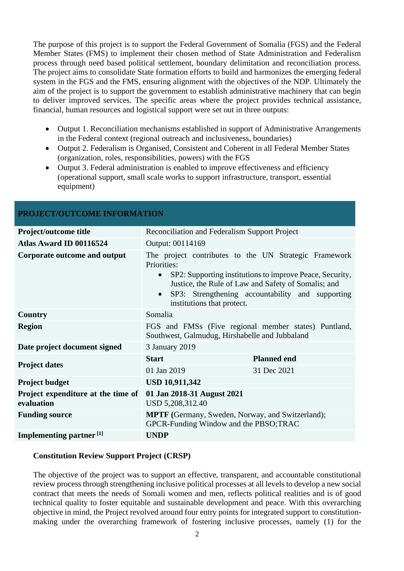The purpose of this project is to support the Federal Government of Somalia (FGS) and the Federal Member States (FMS) to implement their chosen method of State Administration and Federalism process through need based political settlement, boundary delimitation and reconciliation process. The project aims to consolidate State formation efforts to build and harmonizes the emerging federal system in the FGS and the FMS, ensuring alignment with the objectives of the NDP. Ultimately the aim of the project is to support the government to establish administrative machinery that can begin to deliver improved services. The specific areas where the project provides technical assistance, financial, human resources and logistical support were set out in three outputs:

- Output 1. Reconciliation mechanisms established in support of Administrative Arrangements in the Federal context (regional outreach and inclusiveness, boundaries)
- Output 2. Federalism is Organised, Consistent and Coherent in all Federal Member States (organization, roles, responsibilities, powers) with the FGS
- Output 3. Federal administration is enabled to improve effectiveness and efficiency (operational support, small scale works to support infrastructure, transport, essential equipment)

| PROJECT/OUTCOME INFORMATION                      |                                                                                                                                                                                                                                                                                                     |                    |  |  |
|--------------------------------------------------|-----------------------------------------------------------------------------------------------------------------------------------------------------------------------------------------------------------------------------------------------------------------------------------------------------|--------------------|--|--|
| Project/outcome title                            | Reconciliation and Federalism Support Project                                                                                                                                                                                                                                                       |                    |  |  |
| Atlas Award ID 00116524                          | Output: 00114169                                                                                                                                                                                                                                                                                    |                    |  |  |
| Corporate outcome and output                     | The project contributes to the UN Strategic Framework<br>Priorities:<br>SP2: Supporting institutions to improve Peace, Security,<br>$\bullet$<br>Justice, the Rule of Law and Safety of Somalis; and<br>SP3: Strengthening accountability and supporting<br>$\bullet$<br>institutions that protect. |                    |  |  |
| Country                                          | Somalia                                                                                                                                                                                                                                                                                             |                    |  |  |
| <b>Region</b>                                    | FGS and FMSs (Five regional member states) Puntland,<br>Southwest, Galmudug, Hirshabelle and Jubbaland                                                                                                                                                                                              |                    |  |  |
| Date project document signed                     | 3 January 2019                                                                                                                                                                                                                                                                                      |                    |  |  |
|                                                  | <b>Start</b>                                                                                                                                                                                                                                                                                        | <b>Planned end</b> |  |  |
| <b>Project dates</b>                             | 01 Jan 2019                                                                                                                                                                                                                                                                                         | 31 Dec 2021        |  |  |
| <b>Project budget</b>                            | <b>USD 10,911,342</b>                                                                                                                                                                                                                                                                               |                    |  |  |
| Project expenditure at the time of<br>evaluation | 01 Jan 2018-31 August 2021<br>USD 5,208,312.40                                                                                                                                                                                                                                                      |                    |  |  |
| <b>Funding source</b>                            | <b>MPTF</b> (Germany, Sweden, Norway, and Switzerland);<br>GPCR-Funding Window and the PBSO;TRAC                                                                                                                                                                                                    |                    |  |  |
| Implementing partner <sup>[1]</sup>              | <b>UNDP</b>                                                                                                                                                                                                                                                                                         |                    |  |  |

# **PROJECT/OUTCOME INFORMATION**

#### **Constitution Review Support Project (CRSP)**

The objective of the project was to support an effective, transparent, and accountable constitutional review process through strengthening inclusive political processes at all levels to develop a new social contract that meets the needs of Somali women and men, reflects political realities and is of good technical quality to foster equitable and sustainable development and peace. With this overarching objective in mind, the Project revolved around four entry points for integrated support to constitutionmaking under the overarching framework of fostering inclusive processes, namely (1) for the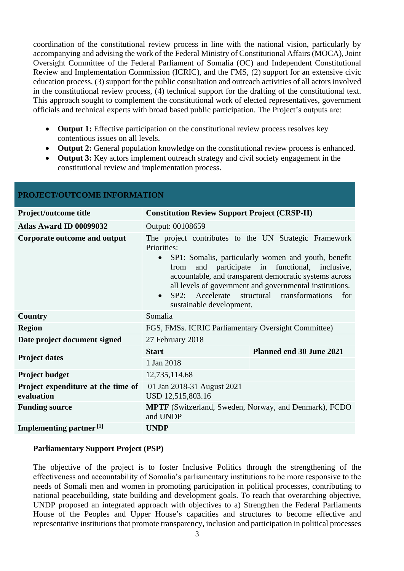coordination of the constitutional review process in line with the national vision, particularly by accompanying and advising the work of the Federal Ministry of Constitutional Affairs (MOCA), Joint Oversight Committee of the Federal Parliament of Somalia (OC) and Independent Constitutional Review and Implementation Commission (ICRIC), and the FMS, (2) support for an extensive civic education process, (3) support for the public consultation and outreach activities of all actors involved in the constitutional review process, (4) technical support for the drafting of the constitutional text. This approach sought to complement the constitutional work of elected representatives, government officials and technical experts with broad based public participation. The Project's outputs are:

- **Output 1:** Effective participation on the constitutional review process resolves key contentious issues on all levels.
- **Output 2:** General population knowledge on the constitutional review process is enhanced.
- **Output 3:** Key actors implement outreach strategy and civil society engagement in the constitutional review and implementation process.

| PROJECT/OUTCOME INFORMATION                      |                                                                                                                                                                                                                                                                                                                                                                                                                     |                          |  |  |  |
|--------------------------------------------------|---------------------------------------------------------------------------------------------------------------------------------------------------------------------------------------------------------------------------------------------------------------------------------------------------------------------------------------------------------------------------------------------------------------------|--------------------------|--|--|--|
| Project/outcome title                            | <b>Constitution Review Support Project (CRSP-II)</b>                                                                                                                                                                                                                                                                                                                                                                |                          |  |  |  |
| Atlas Award ID 00099032                          | Output: 00108659                                                                                                                                                                                                                                                                                                                                                                                                    |                          |  |  |  |
| Corporate outcome and output                     | The project contributes to the UN Strategic Framework<br>Priorities:<br>SP1: Somalis, particularly women and youth, benefit<br>$\bullet$<br>and participate in functional, inclusive,<br>from<br>accountable, and transparent democratic systems across<br>all levels of government and governmental institutions.<br>SP2: Accelerate<br>structural transformations<br>for<br>$\bullet$<br>sustainable development. |                          |  |  |  |
| <b>Country</b>                                   | Somalia                                                                                                                                                                                                                                                                                                                                                                                                             |                          |  |  |  |
| <b>Region</b>                                    | FGS, FMSs. ICRIC Parliamentary Oversight Committee)                                                                                                                                                                                                                                                                                                                                                                 |                          |  |  |  |
| Date project document signed                     | 27 February 2018                                                                                                                                                                                                                                                                                                                                                                                                    |                          |  |  |  |
|                                                  | <b>Start</b>                                                                                                                                                                                                                                                                                                                                                                                                        | Planned end 30 June 2021 |  |  |  |
| <b>Project dates</b>                             | 1 Jan 2018                                                                                                                                                                                                                                                                                                                                                                                                          |                          |  |  |  |
| <b>Project budget</b>                            | 12,735,114.68                                                                                                                                                                                                                                                                                                                                                                                                       |                          |  |  |  |
| Project expenditure at the time of<br>evaluation | 01 Jan 2018-31 August 2021<br>USD 12,515,803.16                                                                                                                                                                                                                                                                                                                                                                     |                          |  |  |  |
| <b>Funding source</b>                            | <b>MPTF</b> (Switzerland, Sweden, Norway, and Denmark), FCDO<br>and UNDP                                                                                                                                                                                                                                                                                                                                            |                          |  |  |  |
| Implementing partner <sup>[1]</sup>              | <b>UNDP</b>                                                                                                                                                                                                                                                                                                                                                                                                         |                          |  |  |  |

#### **Parliamentary Support Project (PSP)**

The objective of the project is to foster Inclusive Politics through the strengthening of the effectiveness and accountability of Somalia's parliamentary institutions to be more responsive to the needs of Somali men and women in promoting participation in political processes, contributing to national peacebuilding, state building and development goals. To reach that overarching objective, UNDP proposed an integrated approach with objectives to a) Strengthen the Federal Parliaments House of the Peoples and Upper House's capacities and structures to become effective and representative institutions that promote transparency, inclusion and participation in political processes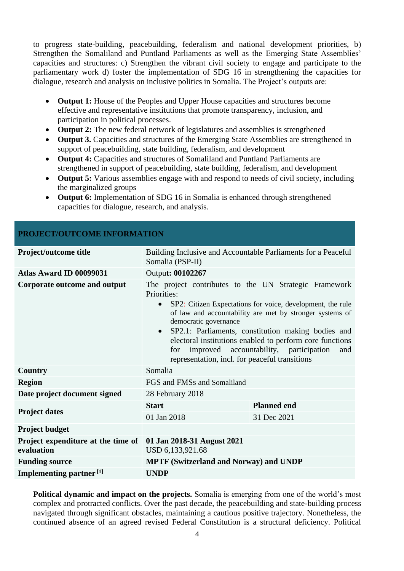to progress state-building, peacebuilding, federalism and national development priorities, b) Strengthen the Somaliland and Puntland Parliaments as well as the Emerging State Assemblies' capacities and structures: c) Strengthen the vibrant civil society to engage and participate to the parliamentary work d) foster the implementation of SDG 16 in strengthening the capacities for dialogue, research and analysis on inclusive politics in Somalia. The Project's outputs are:

- **Output 1:** House of the Peoples and Upper House capacities and structures become effective and representative institutions that promote transparency, inclusion, and participation in political processes.
- **Output 2:** The new federal network of legislatures and assemblies is strengthened
- **Output 3.** Capacities and structures of the Emerging State Assemblies are strengthened in support of peacebuilding, state building, federalism, and development
- **Output 4:** Capacities and structures of Somaliland and Puntland Parliaments are strengthened in support of peacebuilding, state building, federalism, and development
- **Output 5:** Various assemblies engage with and respond to needs of civil society, including the marginalized groups
- **Output 6:** Implementation of SDG 16 in Somalia is enhanced through strengthened capacities for dialogue, research, and analysis.

| PROJECT/OUTCOME INFORMATION                      |                                                                                                                                                                                                                                                                                                                                                                                                                                                                            |                    |  |  |  |
|--------------------------------------------------|----------------------------------------------------------------------------------------------------------------------------------------------------------------------------------------------------------------------------------------------------------------------------------------------------------------------------------------------------------------------------------------------------------------------------------------------------------------------------|--------------------|--|--|--|
| Project/outcome title                            | Building Inclusive and Accountable Parliaments for a Peaceful<br>Somalia (PSP-II)                                                                                                                                                                                                                                                                                                                                                                                          |                    |  |  |  |
| Atlas Award ID 00099031                          | Output: 00102267                                                                                                                                                                                                                                                                                                                                                                                                                                                           |                    |  |  |  |
| Corporate outcome and output                     | The project contributes to the UN Strategic Framework<br>Priorities:<br>SP2: Citizen Expectations for voice, development, the rule<br>$\bullet$<br>of law and accountability are met by stronger systems of<br>democratic governance<br>SP2.1: Parliaments, constitution making bodies and<br>$\bullet$<br>electoral institutions enabled to perform core functions<br>for improved accountability, participation<br>and<br>representation, incl. for peaceful transitions |                    |  |  |  |
| <b>Country</b>                                   | Somalia                                                                                                                                                                                                                                                                                                                                                                                                                                                                    |                    |  |  |  |
| <b>Region</b>                                    | FGS and FMSs and Somaliland                                                                                                                                                                                                                                                                                                                                                                                                                                                |                    |  |  |  |
| Date project document signed                     | 28 February 2018                                                                                                                                                                                                                                                                                                                                                                                                                                                           |                    |  |  |  |
|                                                  | <b>Start</b>                                                                                                                                                                                                                                                                                                                                                                                                                                                               | <b>Planned end</b> |  |  |  |
| <b>Project dates</b>                             | 01 Jan 2018                                                                                                                                                                                                                                                                                                                                                                                                                                                                | 31 Dec 2021        |  |  |  |
| <b>Project budget</b>                            |                                                                                                                                                                                                                                                                                                                                                                                                                                                                            |                    |  |  |  |
| Project expenditure at the time of<br>evaluation | 01 Jan 2018-31 August 2021<br>USD 6,133,921.68                                                                                                                                                                                                                                                                                                                                                                                                                             |                    |  |  |  |
| <b>Funding source</b>                            | <b>MPTF (Switzerland and Norway) and UNDP</b>                                                                                                                                                                                                                                                                                                                                                                                                                              |                    |  |  |  |
| Implementing partner <sup>[1]</sup>              | <b>UNDP</b>                                                                                                                                                                                                                                                                                                                                                                                                                                                                |                    |  |  |  |

**Political dynamic and impact on the projects.** Somalia is emerging from one of the world's most complex and protracted conflicts. Over the past decade, the peacebuilding and state-building process navigated through significant obstacles, maintaining a cautious positive trajectory. Nonetheless, the continued absence of an agreed revised Federal Constitution is a structural deficiency. Political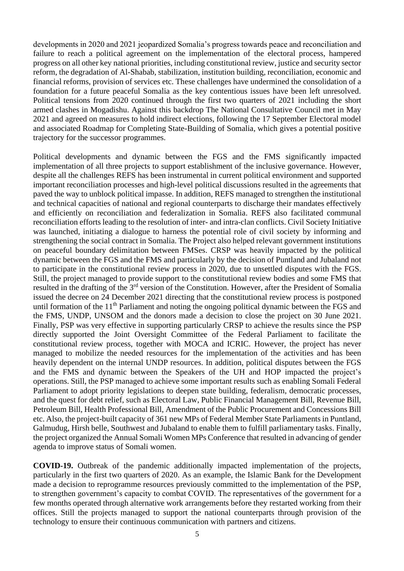developments in 2020 and 2021 jeopardized Somalia's progress towards peace and reconciliation and failure to reach a political agreement on the implementation of the electoral process, hampered progress on all other key national priorities, including constitutional review, justice and security sector reform, the degradation of Al-Shabab, stabilization, institution building, reconciliation, economic and financial reforms, provision of services etc. These challenges have undermined the consolidation of a foundation for a future peaceful Somalia as the key contentious issues have been left unresolved. Political tensions from 2020 continued through the first two quarters of 2021 including the short armed clashes in Mogadishu. Against this backdrop The National Consultative Council met in May 2021 and agreed on measures to hold indirect elections, following the 17 September Electoral model and associated Roadmap for Completing State-Building of Somalia, which gives a potential positive trajectory for the successor programmes.

Political developments and dynamic between the FGS and the FMS significantly impacted implementation of all three projects to support establishment of the inclusive governance. However, despite all the challenges REFS has been instrumental in current political environment and supported important reconciliation processes and high-level political discussions resulted in the agreements that paved the way to unblock political impasse. In addition, REFS managed to strengthen the institutional and technical capacities of national and regional counterparts to discharge their mandates effectively and efficiently on reconciliation and federalization in Somalia. REFS also facilitated communal reconciliation efforts leading to the resolution of inter- and intra-clan conflicts. Civil Society Initiative was launched, initiating a dialogue to harness the potential role of civil society by informing and strengthening the social contract in Somalia. The Project also helped relevant government institutions on peaceful boundary delimitation between FMSes. CRSP was heavily impacted by the political dynamic between the FGS and the FMS and particularly by the decision of Puntland and Jubaland not to participate in the constitutional review process in 2020, due to unsettled disputes with the FGS. Still, the project managed to provide support to the constitutional review bodies and some FMS that resulted in the drafting of the 3rd version of the Constitution. However, after the President of Somalia issued the decree on 24 December 2021 directing that the constitutional review process is postponed until formation of the 11<sup>th</sup> Parliament and noting the ongoing political dynamic between the FGS and the FMS, UNDP, UNSOM and the donors made a decision to close the project on 30 June 2021. Finally, PSP was very effective in supporting particularly CRSP to achieve the results since the PSP directly supported the Joint Oversight Committee of the Federal Parliament to facilitate the constitutional review process, together with MOCA and ICRIC. However, the project has never managed to mobilize the needed resources for the implementation of the activities and has been heavily dependent on the internal UNDP resources. In addition, political disputes between the FGS and the FMS and dynamic between the Speakers of the UH and HOP impacted the project's operations. Still, the PSP managed to achieve some important results such as enabling Somali Federal Parliament to adopt priority legislations to deepen state building, federalism, democratic processes, and the quest for debt relief, such as Electoral Law, Public Financial Management Bill, Revenue Bill, Petroleum Bill, Health Professional Bill, Amendment of the Public Procurement and Concessions Bill etc. Also, the project-built capacity of 361 new MPs of Federal Member State Parliaments in Puntland, Galmudug, Hirsh belle, Southwest and Jubaland to enable them to fulfill parliamentary tasks. Finally, the project organized the Annual Somali Women MPs Conference that resulted in advancing of gender agenda to improve status of Somali women.

**COVID-19.** Outbreak of the pandemic additionally impacted implementation of the projects, particularly in the first two quarters of 2020. As an example, the Islamic Bank for the Development made a decision to reprogramme resources previously committed to the implementation of the PSP, to strengthen government's capacity to combat COVID. The representatives of the government for a few months operated through alternative work arrangements before they restarted working from their offices. Still the projects managed to support the national counterparts through provision of the technology to ensure their continuous communication with partners and citizens.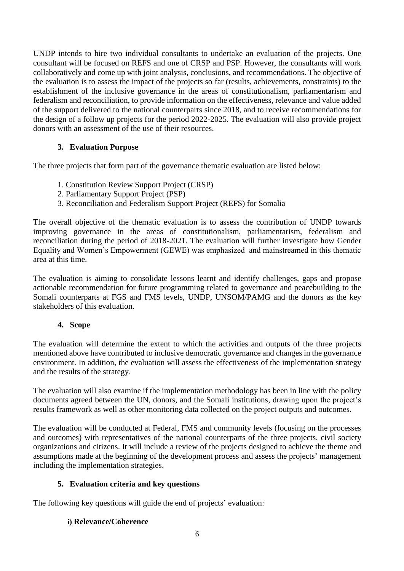UNDP intends to hire two individual consultants to undertake an evaluation of the projects. One consultant will be focused on REFS and one of CRSP and PSP. However, the consultants will work collaboratively and come up with joint analysis, conclusions, and recommendations. The objective of the evaluation is to assess the impact of the projects so far (results, achievements, constraints) to the establishment of the inclusive governance in the areas of constitutionalism, parliamentarism and federalism and reconciliation, to provide information on the effectiveness, relevance and value added of the support delivered to the national counterparts since 2018, and to receive recommendations for the design of a follow up projects for the period 2022-2025. The evaluation will also provide project donors with an assessment of the use of their resources.

# **3. Evaluation Purpose**

The three projects that form part of the governance thematic evaluation are listed below:

- 1. Constitution Review Support Project (CRSP)
- 2. Parliamentary Support Project (PSP)
- 3. Reconciliation and Federalism Support Project (REFS) for Somalia

The overall objective of the thematic evaluation is to assess the contribution of UNDP towards improving governance in the areas of constitutionalism, parliamentarism, federalism and reconciliation during the period of 2018-2021. The evaluation will further investigate how Gender Equality and Women's Empowerment (GEWE) was emphasized and mainstreamed in this thematic area at this time.

The evaluation is aiming to consolidate lessons learnt and identify challenges, gaps and propose actionable recommendation for future programming related to governance and peacebuilding to the Somali counterparts at FGS and FMS levels, UNDP, UNSOM/PAMG and the donors as the key stakeholders of this evaluation.

## **4. Scope**

The evaluation will determine the extent to which the activities and outputs of the three projects mentioned above have contributed to inclusive democratic governance and changes in the governance environment. In addition, the evaluation will assess the effectiveness of the implementation strategy and the results of the strategy.

The evaluation will also examine if the implementation methodology has been in line with the policy documents agreed between the UN, donors, and the Somali institutions, drawing upon the project's results framework as well as other monitoring data collected on the project outputs and outcomes.

The evaluation will be conducted at Federal, FMS and community levels (focusing on the processes and outcomes) with representatives of the national counterparts of the three projects, civil society organizations and citizens. It will include a review of the projects designed to achieve the theme and assumptions made at the beginning of the development process and assess the projects' management including the implementation strategies.

# **5. Evaluation criteria and key questions**

The following key questions will guide the end of projects' evaluation:

## **i) Relevance/Coherence**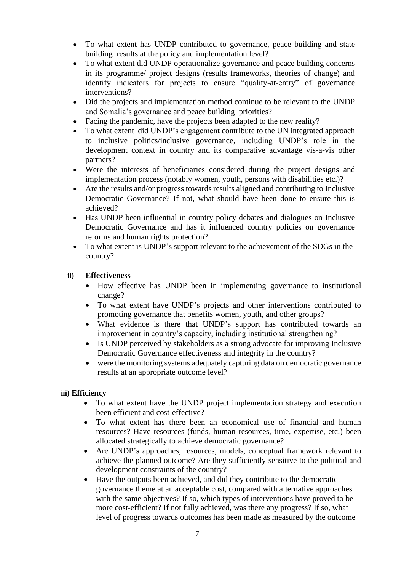- To what extent has UNDP contributed to governance, peace building and state building results at the policy and implementation level?
- To what extent did UNDP operationalize governance and peace building concerns in its programme/ project designs (results frameworks, theories of change) and identify indicators for projects to ensure "quality-at-entry" of governance interventions?
- Did the projects and implementation method continue to be relevant to the UNDP and Somalia's governance and peace building priorities?
- Facing the pandemic, have the projects been adapted to the new reality?
- To what extent did UNDP's engagement contribute to the UN integrated approach to inclusive politics/inclusive governance, including UNDP's role in the development context in country and its comparative advantage vis-a-vis other partners?
- Were the interests of beneficiaries considered during the project designs and implementation process (notably women, youth, persons with disabilities etc.)?
- Are the results and/or progress towards results aligned and contributing to Inclusive Democratic Governance? If not, what should have been done to ensure this is achieved?
- Has UNDP been influential in country policy debates and dialogues on Inclusive Democratic Governance and has it influenced country policies on governance reforms and human rights protection?
- To what extent is UNDP's support relevant to the achievement of the SDGs in the country?

#### **ii) Effectiveness**

- How effective has UNDP been in implementing governance to institutional change?
- To what extent have UNDP's projects and other interventions contributed to promoting governance that benefits women, youth, and other groups?
- What evidence is there that UNDP's support has contributed towards an improvement in country's capacity, including institutional strengthening?
- Is UNDP perceived by stakeholders as a strong advocate for improving Inclusive Democratic Governance effectiveness and integrity in the country?
- were the monitoring systems adequately capturing data on democratic governance results at an appropriate outcome level?

#### **iii) Efficiency**

- To what extent have the UNDP project implementation strategy and execution been efficient and cost-effective?
- To what extent has there been an economical use of financial and human resources? Have resources (funds, human resources, time, expertise, etc.) been allocated strategically to achieve democratic governance?
- Are UNDP's approaches, resources, models, conceptual framework relevant to achieve the planned outcome? Are they sufficiently sensitive to the political and development constraints of the country?
- Have the outputs been achieved, and did they contribute to the democratic governance theme at an acceptable cost, compared with alternative approaches with the same objectives? If so, which types of interventions have proved to be more cost-efficient? If not fully achieved, was there any progress? If so, what level of progress towards outcomes has been made as measured by the outcome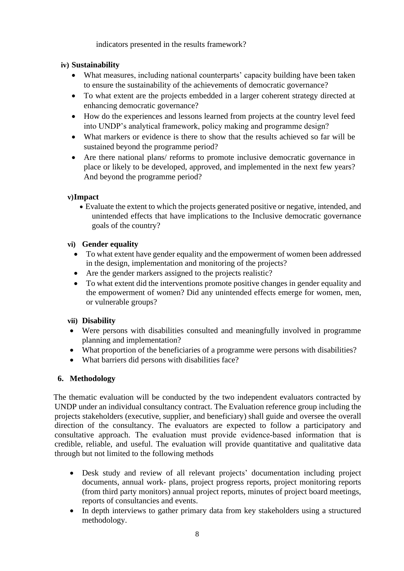indicators presented in the results framework?

# **iv) Sustainability**

- What measures, including national counterparts' capacity building have been taken to ensure the sustainability of the achievements of democratic governance?
- To what extent are the projects embedded in a larger coherent strategy directed at enhancing democratic governance?
- How do the experiences and lessons learned from projects at the country level feed into UNDP's analytical framework, policy making and programme design?
- What markers or evidence is there to show that the results achieved so far will be sustained beyond the programme period?
- Are there national plans/ reforms to promote inclusive democratic governance in place or likely to be developed, approved, and implemented in the next few years? And beyond the programme period?

# **v)Impact**

• Evaluate the extent to which the projects generated positive or negative, intended, and unintended effects that have implications to the Inclusive democratic governance goals of the country?

# **vi) Gender equality**

- To what extent have gender equality and the empowerment of women been addressed in the design, implementation and monitoring of the projects?
- Are the gender markers assigned to the projects realistic?
- To what extent did the interventions promote positive changes in gender equality and the empowerment of women? Did any unintended effects emerge for women, men, or vulnerable groups?

# **vii) Disability**

- Were persons with disabilities consulted and meaningfully involved in programme planning and implementation?
- What proportion of the beneficiaries of a programme were persons with disabilities?
- What barriers did persons with disabilities face?

# **6. Methodology**

 The thematic evaluation will be conducted by the two independent evaluators contracted by UNDP under an individual consultancy contract. The Evaluation reference group including the projects stakeholders (executive, supplier, and beneficiary) shall guide and oversee the overall direction of the consultancy. The evaluators are expected to follow a participatory and consultative approach. The evaluation must provide evidence‐based information that is credible, reliable, and useful. The evaluation will provide quantitative and qualitative data through but not limited to the following methods

- Desk study and review of all relevant projects' documentation including project documents, annual work- plans, project progress reports, project monitoring reports (from third party monitors) annual project reports, minutes of project board meetings, reports of consultancies and events.
- In depth interviews to gather primary data from key stakeholders using a structured methodology.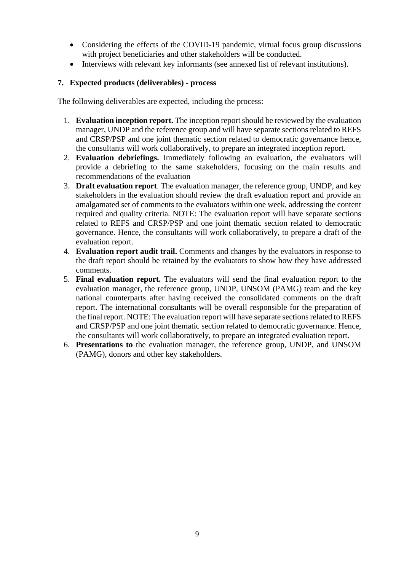- Considering the effects of the COVID-19 pandemic, virtual focus group discussions with project beneficiaries and other stakeholders will be conducted.
- Interviews with relevant key informants (see annexed list of relevant institutions).

## **7. Expected products (deliverables) - process**

The following deliverables are expected, including the process:

- 1. **Evaluation inception report.** The inception report should be reviewed by the evaluation manager, UNDP and the reference group and will have separate sections related to REFS and CRSP/PSP and one joint thematic section related to democratic governance hence, the consultants will work collaboratively, to prepare an integrated inception report.
- 2. **Evaluation debriefings.** Immediately following an evaluation, the evaluators will provide a debriefing to the same stakeholders, focusing on the main results and recommendations of the evaluation
- 3. **Draft evaluation report**. The evaluation manager, the reference group, UNDP, and key stakeholders in the evaluation should review the draft evaluation report and provide an amalgamated set of comments to the evaluators within one week, addressing the content required and quality criteria. NOTE: The evaluation report will have separate sections related to REFS and CRSP/PSP and one joint thematic section related to democratic governance. Hence, the consultants will work collaboratively, to prepare a draft of the evaluation report.
- 4. **Evaluation report audit trail.** Comments and changes by the evaluators in response to the draft report should be retained by the evaluators to show how they have addressed comments.
- 5. **Final evaluation report.** The evaluators will send the final evaluation report to the evaluation manager, the reference group, UNDP, UNSOM (PAMG) team and the key national counterparts after having received the consolidated comments on the draft report. The international consultants will be overall responsible for the preparation of the final report. NOTE: The evaluation report will have separate sections related to REFS and CRSP/PSP and one joint thematic section related to democratic governance. Hence, the consultants will work collaboratively, to prepare an integrated evaluation report.
- 6. **Presentations to** the evaluation manager, the reference group, UNDP, and UNSOM (PAMG), donors and other key stakeholders.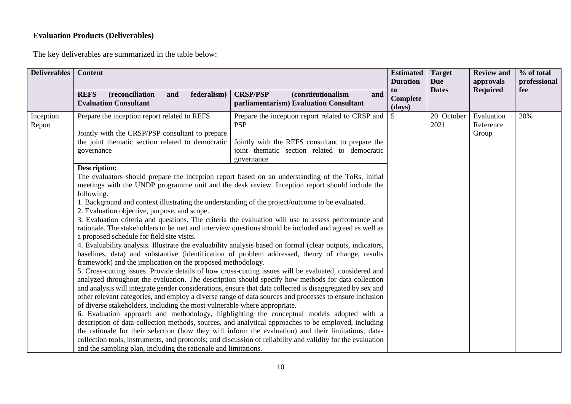# **Evaluation Products (Deliverables)**

The key deliverables are summarized in the table below:

| <b>Deliverables</b>                                                                                                                                                                                                                                                                                                                                                                                                                                                                                                                                                                                                                                                                                                                                                         | <b>Content</b><br>(reconciliation<br><b>REFS</b><br>federalism)<br>and<br><b>Evaluation Consultant</b>                                                                                                                                                                                                                                                                                                                                                                                                                                                                                                                                                                                                                                                                                                                                                                                                                                                                                                                                                                                                                                                                                                                                                                                                                                                                                                                                                                                                                                                            | <b>CRSP/PSP</b><br><i>(constitutionalism)</i><br>and<br>parliamentarism) Evaluation Consultant | <b>Estimated</b><br><b>Duration</b><br>to<br>Complete<br>(days) | <b>Target</b><br><b>Due</b><br><b>Dates</b> | <b>Review and</b><br>approvals<br><b>Required</b> | % of total<br>professional<br>fee |
|-----------------------------------------------------------------------------------------------------------------------------------------------------------------------------------------------------------------------------------------------------------------------------------------------------------------------------------------------------------------------------------------------------------------------------------------------------------------------------------------------------------------------------------------------------------------------------------------------------------------------------------------------------------------------------------------------------------------------------------------------------------------------------|-------------------------------------------------------------------------------------------------------------------------------------------------------------------------------------------------------------------------------------------------------------------------------------------------------------------------------------------------------------------------------------------------------------------------------------------------------------------------------------------------------------------------------------------------------------------------------------------------------------------------------------------------------------------------------------------------------------------------------------------------------------------------------------------------------------------------------------------------------------------------------------------------------------------------------------------------------------------------------------------------------------------------------------------------------------------------------------------------------------------------------------------------------------------------------------------------------------------------------------------------------------------------------------------------------------------------------------------------------------------------------------------------------------------------------------------------------------------------------------------------------------------------------------------------------------------|------------------------------------------------------------------------------------------------|-----------------------------------------------------------------|---------------------------------------------|---------------------------------------------------|-----------------------------------|
| Prepare the inception report related to REFS<br>Prepare the inception report related to CRSP and<br>Inception<br><b>PSP</b><br>Report<br>Jointly with the CRSP/PSP consultant to prepare<br>the joint thematic section related to democratic<br>Jointly with the REFS consultant to prepare the<br>joint thematic section related to democratic<br>governance<br>governance<br><b>Description:</b><br>The evaluators should prepare the inception report based on an understanding of the ToRs, initial<br>meetings with the UNDP programme unit and the desk review. Inception report should include the<br>following.<br>1. Background and context illustrating the understanding of the project/outcome to be evaluated.<br>2. Evaluation objective, purpose, and scope. |                                                                                                                                                                                                                                                                                                                                                                                                                                                                                                                                                                                                                                                                                                                                                                                                                                                                                                                                                                                                                                                                                                                                                                                                                                                                                                                                                                                                                                                                                                                                                                   | 5                                                                                              | 20 October<br>2021                                              | Evaluation<br>Reference<br>Group            | 20%                                               |                                   |
|                                                                                                                                                                                                                                                                                                                                                                                                                                                                                                                                                                                                                                                                                                                                                                             | 3. Evaluation criteria and questions. The criteria the evaluation will use to assess performance and<br>rationale. The stakeholders to be met and interview questions should be included and agreed as well as<br>a proposed schedule for field site visits.<br>4. Evaluability analysis. Illustrate the evaluability analysis based on formal (clear outputs, indicators,<br>baselines, data) and substantive (identification of problem addressed, theory of change, results<br>framework) and the implication on the proposed methodology.<br>5. Cross-cutting issues. Provide details of how cross-cutting issues will be evaluated, considered and<br>analyzed throughout the evaluation. The description should specify how methods for data collection<br>and analysis will integrate gender considerations, ensure that data collected is disaggregated by sex and<br>other relevant categories, and employ a diverse range of data sources and processes to ensure inclusion<br>of diverse stakeholders, including the most vulnerable where appropriate.<br>6. Evaluation approach and methodology, highlighting the conceptual models adopted with a<br>description of data-collection methods, sources, and analytical approaches to be employed, including<br>the rationale for their selection (how they will inform the evaluation) and their limitations; data-<br>collection tools, instruments, and protocols; and discussion of reliability and validity for the evaluation<br>and the sampling plan, including the rationale and limitations. |                                                                                                |                                                                 |                                             |                                                   |                                   |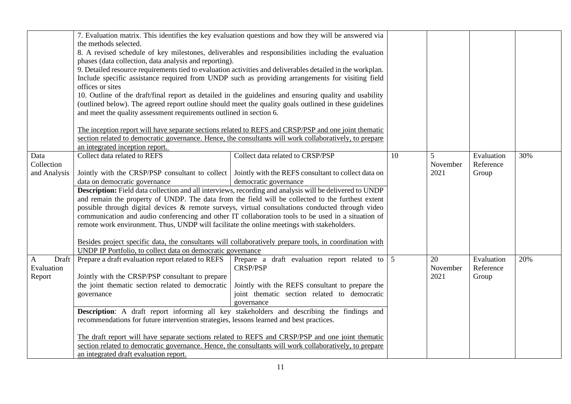|              | 7. Evaluation matrix. This identifies the key evaluation questions and how they will be answered via<br>the methods selected.                                                                                |                                                                                                                                |    |                  |            |     |
|--------------|--------------------------------------------------------------------------------------------------------------------------------------------------------------------------------------------------------------|--------------------------------------------------------------------------------------------------------------------------------|----|------------------|------------|-----|
|              | 8. A revised schedule of key milestones, deliverables and responsibilities including the evaluation                                                                                                          |                                                                                                                                |    |                  |            |     |
|              | phases (data collection, data analysis and reporting).                                                                                                                                                       |                                                                                                                                |    |                  |            |     |
|              |                                                                                                                                                                                                              | 9. Detailed resource requirements tied to evaluation activities and deliverables detailed in the workplan.                     |    |                  |            |     |
|              |                                                                                                                                                                                                              | Include specific assistance required from UNDP such as providing arrangements for visiting field                               |    |                  |            |     |
|              | offices or sites                                                                                                                                                                                             |                                                                                                                                |    |                  |            |     |
|              |                                                                                                                                                                                                              | 10. Outline of the draft/final report as detailed in the guidelines and ensuring quality and usability                         |    |                  |            |     |
|              |                                                                                                                                                                                                              | (outlined below). The agreed report outline should meet the quality goals outlined in these guidelines                         |    |                  |            |     |
|              | and meet the quality assessment requirements outlined in section 6.                                                                                                                                          |                                                                                                                                |    |                  |            |     |
|              |                                                                                                                                                                                                              |                                                                                                                                |    |                  |            |     |
|              |                                                                                                                                                                                                              | The inception report will have separate sections related to REFS and CRSP/PSP and one joint thematic                           |    |                  |            |     |
|              |                                                                                                                                                                                                              | section related to democratic governance. Hence, the consultants will work collaboratively, to prepare                         |    |                  |            |     |
|              | an integrated inception report.                                                                                                                                                                              |                                                                                                                                |    |                  |            |     |
| Data         | Collect data related to REFS                                                                                                                                                                                 | Collect data related to CRSP/PSP                                                                                               | 10 | 5                | Evaluation | 30% |
| Collection   |                                                                                                                                                                                                              |                                                                                                                                |    | November<br>2021 | Reference  |     |
| and Analysis | data on democratic governance                                                                                                                                                                                | Jointly with the CRSP/PSP consultant to collect   Jointly with the REFS consultant to collect data on<br>democratic governance |    |                  | Group      |     |
|              |                                                                                                                                                                                                              |                                                                                                                                |    |                  |            |     |
|              | Description: Field data collection and all interviews, recording and analysis will be delivered to UNDP<br>and remain the property of UNDP. The data from the field will be collected to the furthest extent |                                                                                                                                |    |                  |            |     |
|              | possible through digital devices & remote surveys, virtual consultations conducted through video                                                                                                             |                                                                                                                                |    |                  |            |     |
|              | communication and audio conferencing and other IT collaboration tools to be used in a situation of                                                                                                           |                                                                                                                                |    |                  |            |     |
|              | remote work environment. Thus, UNDP will facilitate the online meetings with stakeholders.                                                                                                                   |                                                                                                                                |    |                  |            |     |
|              |                                                                                                                                                                                                              |                                                                                                                                |    |                  |            |     |
|              | Besides project specific data, the consultants will collaboratively prepare tools, in coordination with                                                                                                      |                                                                                                                                |    |                  |            |     |
|              | UNDP IP Portfolio, to collect data on democratic governance                                                                                                                                                  |                                                                                                                                |    |                  |            |     |
| Draft<br>A   | Prepare a draft evaluation report related to REFS                                                                                                                                                            | Prepare a draft evaluation report related to $\frac{1}{5}$                                                                     |    | 20               | Evaluation | 20% |
| Evaluation   |                                                                                                                                                                                                              | <b>CRSP/PSP</b>                                                                                                                |    | November         | Reference  |     |
| Report       | Jointly with the CRSP/PSP consultant to prepare                                                                                                                                                              |                                                                                                                                |    | 2021             | Group      |     |
|              | the joint thematic section related to democratic                                                                                                                                                             | Jointly with the REFS consultant to prepare the<br>joint thematic section related to democratic                                |    |                  |            |     |
|              | governance                                                                                                                                                                                                   | governance                                                                                                                     |    |                  |            |     |
|              |                                                                                                                                                                                                              |                                                                                                                                |    |                  |            |     |
|              | Description: A draft report informing all key stakeholders and describing the findings and<br>recommendations for future intervention strategies, lessons learned and best practices.                        |                                                                                                                                |    |                  |            |     |
|              |                                                                                                                                                                                                              |                                                                                                                                |    |                  |            |     |
|              | The draft report will have separate sections related to REFS and CRSP/PSP and one joint thematic                                                                                                             |                                                                                                                                |    |                  |            |     |
|              |                                                                                                                                                                                                              | section related to democratic governance. Hence, the consultants will work collaboratively, to prepare                         |    |                  |            |     |
|              | an integrated draft evaluation report.                                                                                                                                                                       |                                                                                                                                |    |                  |            |     |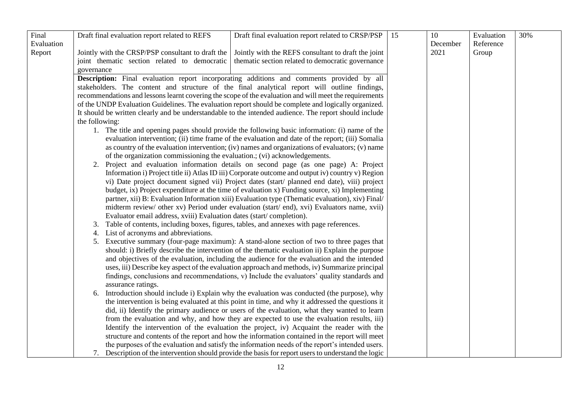| Final      | Draft final evaluation report related to REFS                                             | Draft final evaluation report related to CRSP/PSP                                                      | 15 | 10       | Evaluation | 30% |
|------------|-------------------------------------------------------------------------------------------|--------------------------------------------------------------------------------------------------------|----|----------|------------|-----|
| Evaluation |                                                                                           |                                                                                                        |    | December | Reference  |     |
| Report     | Jointly with the CRSP/PSP consultant to draft the                                         | Jointly with the REFS consultant to draft the joint                                                    |    | 2021     | Group      |     |
|            | joint thematic section related to democratic                                              | thematic section related to democratic governance                                                      |    |          |            |     |
|            | governance                                                                                |                                                                                                        |    |          |            |     |
|            |                                                                                           | Description: Final evaluation report incorporating additions and comments provided by all              |    |          |            |     |
|            |                                                                                           | stakeholders. The content and structure of the final analytical report will outline findings,          |    |          |            |     |
|            |                                                                                           | recommendations and lessons learnt covering the scope of the evaluation and will meet the requirements |    |          |            |     |
|            |                                                                                           | of the UNDP Evaluation Guidelines. The evaluation report should be complete and logically organized.   |    |          |            |     |
|            |                                                                                           | It should be written clearly and be understandable to the intended audience. The report should include |    |          |            |     |
|            | the following:                                                                            |                                                                                                        |    |          |            |     |
|            |                                                                                           | 1. The title and opening pages should provide the following basic information: (i) name of the         |    |          |            |     |
|            |                                                                                           | evaluation intervention; (ii) time frame of the evaluation and date of the report; (iii) Somalia       |    |          |            |     |
|            |                                                                                           | as country of the evaluation intervention; (iv) names and organizations of evaluators; (v) name        |    |          |            |     |
|            | of the organization commissioning the evaluation.; (vi) acknowledgements.                 |                                                                                                        |    |          |            |     |
|            |                                                                                           | 2. Project and evaluation information details on second page (as one page) A: Project                  |    |          |            |     |
|            |                                                                                           | Information i) Project title ii) Atlas ID iii) Corporate outcome and output iv) country v) Region      |    |          |            |     |
|            |                                                                                           | vi) Date project document signed vii) Project dates (start/ planned end date), viii) project           |    |          |            |     |
|            |                                                                                           | budget, ix) Project expenditure at the time of evaluation x) Funding source, xi) Implementing          |    |          |            |     |
|            |                                                                                           | partner, xii) B: Evaluation Information xiii) Evaluation type (Thematic evaluation), xiv) Final/       |    |          |            |     |
|            |                                                                                           | midterm review/ other xv) Period under evaluation (start/ end), xvi) Evaluators name, xvii)            |    |          |            |     |
|            | Evaluator email address, xviii) Evaluation dates (start/completion).                      |                                                                                                        |    |          |            |     |
|            | 3. Table of contents, including boxes, figures, tables, and annexes with page references. |                                                                                                        |    |          |            |     |
|            | 4. List of acronyms and abbreviations.                                                    |                                                                                                        |    |          |            |     |
|            |                                                                                           | 5. Executive summary (four-page maximum): A stand-alone section of two to three pages that             |    |          |            |     |
|            |                                                                                           | should: i) Briefly describe the intervention of the thematic evaluation ii) Explain the purpose        |    |          |            |     |
|            |                                                                                           | and objectives of the evaluation, including the audience for the evaluation and the intended           |    |          |            |     |
|            |                                                                                           | uses, iii) Describe key aspect of the evaluation approach and methods, iv) Summarize principal         |    |          |            |     |
|            |                                                                                           | findings, conclusions and recommendations, v) Include the evaluators' quality standards and            |    |          |            |     |
|            | assurance ratings.                                                                        |                                                                                                        |    |          |            |     |
|            |                                                                                           | 6. Introduction should include i) Explain why the evaluation was conducted (the purpose), why          |    |          |            |     |
|            |                                                                                           | the intervention is being evaluated at this point in time, and why it addressed the questions it       |    |          |            |     |
|            |                                                                                           | did, ii) Identify the primary audience or users of the evaluation, what they wanted to learn           |    |          |            |     |
|            |                                                                                           | from the evaluation and why, and how they are expected to use the evaluation results, iii)             |    |          |            |     |
|            |                                                                                           | Identify the intervention of the evaluation the project, iv) Acquaint the reader with the              |    |          |            |     |
|            |                                                                                           | structure and contents of the report and how the information contained in the report will meet         |    |          |            |     |
|            |                                                                                           | the purposes of the evaluation and satisfy the information needs of the report's intended users.       |    |          |            |     |
|            |                                                                                           | 7. Description of the intervention should provide the basis for report users to understand the logic   |    |          |            |     |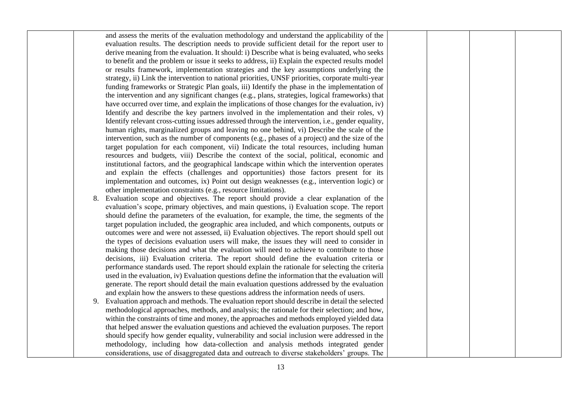|  | and assess the merits of the evaluation methodology and understand the applicability of the       |  |  |
|--|---------------------------------------------------------------------------------------------------|--|--|
|  | evaluation results. The description needs to provide sufficient detail for the report user to     |  |  |
|  | derive meaning from the evaluation. It should: i) Describe what is being evaluated, who seeks     |  |  |
|  | to benefit and the problem or issue it seeks to address, ii) Explain the expected results model   |  |  |
|  | or results framework, implementation strategies and the key assumptions underlying the            |  |  |
|  | strategy, ii) Link the intervention to national priorities, UNSF priorities, corporate multi-year |  |  |
|  | funding frameworks or Strategic Plan goals, iii) Identify the phase in the implementation of      |  |  |
|  | the intervention and any significant changes (e.g., plans, strategies, logical frameworks) that   |  |  |
|  | have occurred over time, and explain the implications of those changes for the evaluation, iv)    |  |  |
|  | Identify and describe the key partners involved in the implementation and their roles, v)         |  |  |
|  | Identify relevant cross-cutting issues addressed through the intervention, i.e., gender equality, |  |  |
|  | human rights, marginalized groups and leaving no one behind, vi) Describe the scale of the        |  |  |
|  | intervention, such as the number of components (e.g., phases of a project) and the size of the    |  |  |
|  | target population for each component, vii) Indicate the total resources, including human          |  |  |
|  | resources and budgets, viii) Describe the context of the social, political, economic and          |  |  |
|  | institutional factors, and the geographical landscape within which the intervention operates      |  |  |
|  | and explain the effects (challenges and opportunities) those factors present for its              |  |  |
|  | implementation and outcomes, ix) Point out design weaknesses (e.g., intervention logic) or        |  |  |
|  | other implementation constraints (e.g., resource limitations).                                    |  |  |
|  | 8. Evaluation scope and objectives. The report should provide a clear explanation of the          |  |  |
|  | evaluation's scope, primary objectives, and main questions, i) Evaluation scope. The report       |  |  |
|  | should define the parameters of the evaluation, for example, the time, the segments of the        |  |  |
|  | target population included, the geographic area included, and which components, outputs or        |  |  |
|  | outcomes were and were not assessed, ii) Evaluation objectives. The report should spell out       |  |  |
|  | the types of decisions evaluation users will make, the issues they will need to consider in       |  |  |
|  | making those decisions and what the evaluation will need to achieve to contribute to those        |  |  |
|  | decisions, iii) Evaluation criteria. The report should define the evaluation criteria or          |  |  |
|  | performance standards used. The report should explain the rationale for selecting the criteria    |  |  |
|  | used in the evaluation, iv) Evaluation questions define the information that the evaluation will  |  |  |
|  | generate. The report should detail the main evaluation questions addressed by the evaluation      |  |  |
|  | and explain how the answers to these questions address the information needs of users.            |  |  |
|  | 9. Evaluation approach and methods. The evaluation report should describe in detail the selected  |  |  |
|  | methodological approaches, methods, and analysis; the rationale for their selection; and how,     |  |  |
|  | within the constraints of time and money, the approaches and methods employed yielded data        |  |  |
|  | that helped answer the evaluation questions and achieved the evaluation purposes. The report      |  |  |
|  | should specify how gender equality, vulnerability and social inclusion were addressed in the      |  |  |
|  | methodology, including how data-collection and analysis methods integrated gender                 |  |  |
|  | considerations, use of disaggregated data and outreach to diverse stakeholders' groups. The       |  |  |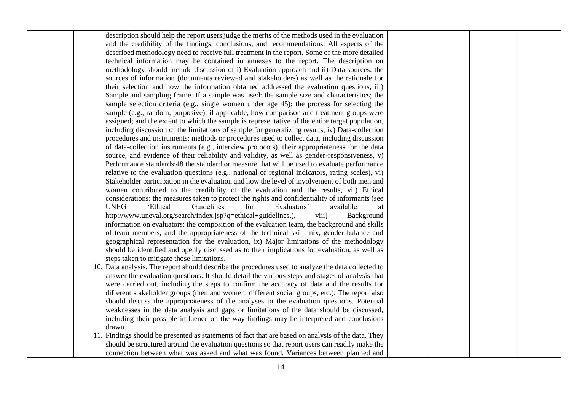| description should help the report users judge the merits of the methods used in the evaluation     |  |  |
|-----------------------------------------------------------------------------------------------------|--|--|
| and the credibility of the findings, conclusions, and recommendations. All aspects of the           |  |  |
| described methodology need to receive full treatment in the report. Some of the more detailed       |  |  |
| technical information may be contained in annexes to the report. The description on                 |  |  |
| methodology should include discussion of i) Evaluation approach and ii) Data sources: the           |  |  |
| sources of information (documents reviewed and stakeholders) as well as the rationale for           |  |  |
| their selection and how the information obtained addressed the evaluation questions, iii)           |  |  |
| Sample and sampling frame. If a sample was used: the sample size and characteristics; the           |  |  |
| sample selection criteria (e.g., single women under age 45); the process for selecting the          |  |  |
| sample (e.g., random, purposive); if applicable, how comparison and treatment groups were           |  |  |
| assigned; and the extent to which the sample is representative of the entire target population,     |  |  |
| including discussion of the limitations of sample for generalizing results, iv) Data-collection     |  |  |
| procedures and instruments: methods or procedures used to collect data, including discussion        |  |  |
| of data-collection instruments (e.g., interview protocols), their appropriateness for the data      |  |  |
| source, and evidence of their reliability and validity, as well as gender-responsiveness, v)        |  |  |
| Performance standards:48 the standard or measure that will be used to evaluate performance          |  |  |
| relative to the evaluation questions (e.g., national or regional indicators, rating scales), vi)    |  |  |
| Stakeholder participation in the evaluation and how the level of involvement of both men and        |  |  |
| women contributed to the credibility of the evaluation and the results, vii) Ethical                |  |  |
| considerations: the measures taken to protect the rights and confidentiality of informants (see     |  |  |
| <b>UNEG</b><br>'Ethical<br>Guidelines<br>Evaluators'<br>for<br>available<br>at                      |  |  |
| http://www.uneval.org/search/index.jsp?q=ethical+guidelines.),<br>viii)<br>Background               |  |  |
| information on evaluators: the composition of the evaluation team, the background and skills        |  |  |
| of team members, and the appropriateness of the technical skill mix, gender balance and             |  |  |
| geographical representation for the evaluation, ix) Major limitations of the methodology            |  |  |
| should be identified and openly discussed as to their implications for evaluation, as well as       |  |  |
| steps taken to mitigate those limitations.                                                          |  |  |
| 10. Data analysis. The report should describe the procedures used to analyze the data collected to  |  |  |
| answer the evaluation questions. It should detail the various steps and stages of analysis that     |  |  |
| were carried out, including the steps to confirm the accuracy of data and the results for           |  |  |
| different stakeholder groups (men and women, different social groups, etc.). The report also        |  |  |
| should discuss the appropriateness of the analyses to the evaluation questions. Potential           |  |  |
| weaknesses in the data analysis and gaps or limitations of the data should be discussed,            |  |  |
| including their possible influence on the way findings may be interpreted and conclusions           |  |  |
| drawn.                                                                                              |  |  |
| 11. Findings should be presented as statements of fact that are based on analysis of the data. They |  |  |
| should be structured around the evaluation questions so that report users can readily make the      |  |  |
| connection between what was asked and what was found. Variances between planned and                 |  |  |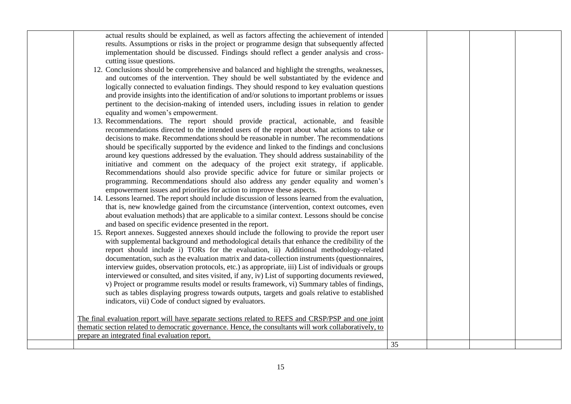| actual results should be explained, as well as factors affecting the achievement of intended            |    |  |  |
|---------------------------------------------------------------------------------------------------------|----|--|--|
| results. Assumptions or risks in the project or programme design that subsequently affected             |    |  |  |
| implementation should be discussed. Findings should reflect a gender analysis and cross-                |    |  |  |
| cutting issue questions.                                                                                |    |  |  |
| 12. Conclusions should be comprehensive and balanced and highlight the strengths, weaknesses,           |    |  |  |
| and outcomes of the intervention. They should be well substantiated by the evidence and                 |    |  |  |
| logically connected to evaluation findings. They should respond to key evaluation questions             |    |  |  |
| and provide insights into the identification of and/or solutions to important problems or issues        |    |  |  |
| pertinent to the decision-making of intended users, including issues in relation to gender              |    |  |  |
| equality and women's empowerment.                                                                       |    |  |  |
| 13. Recommendations. The report should provide practical, actionable, and feasible                      |    |  |  |
| recommendations directed to the intended users of the report about what actions to take or              |    |  |  |
| decisions to make. Recommendations should be reasonable in number. The recommendations                  |    |  |  |
| should be specifically supported by the evidence and linked to the findings and conclusions             |    |  |  |
| around key questions addressed by the evaluation. They should address sustainability of the             |    |  |  |
| initiative and comment on the adequacy of the project exit strategy, if applicable.                     |    |  |  |
| Recommendations should also provide specific advice for future or similar projects or                   |    |  |  |
| programming. Recommendations should also address any gender equality and women's                        |    |  |  |
| empowerment issues and priorities for action to improve these aspects.                                  |    |  |  |
| 14. Lessons learned. The report should include discussion of lessons learned from the evaluation,       |    |  |  |
|                                                                                                         |    |  |  |
| that is, new knowledge gained from the circumstance (intervention, context outcomes, even               |    |  |  |
| about evaluation methods) that are applicable to a similar context. Lessons should be concise           |    |  |  |
| and based on specific evidence presented in the report.                                                 |    |  |  |
| 15. Report annexes. Suggested annexes should include the following to provide the report user           |    |  |  |
| with supplemental background and methodological details that enhance the credibility of the             |    |  |  |
| report should include i) TORs for the evaluation, ii) Additional methodology-related                    |    |  |  |
| documentation, such as the evaluation matrix and data-collection instruments (questionnaires,           |    |  |  |
| interview guides, observation protocols, etc.) as appropriate, iii) List of individuals or groups       |    |  |  |
| interviewed or consulted, and sites visited, if any, iv) List of supporting documents reviewed,         |    |  |  |
| v) Project or programme results model or results framework, vi) Summary tables of findings,             |    |  |  |
| such as tables displaying progress towards outputs, targets and goals relative to established           |    |  |  |
| indicators, vii) Code of conduct signed by evaluators.                                                  |    |  |  |
|                                                                                                         |    |  |  |
| The final evaluation report will have separate sections related to REFS and CRSP/PSP and one joint      |    |  |  |
| thematic section related to democratic governance. Hence, the consultants will work collaboratively, to |    |  |  |
| prepare an integrated final evaluation report.                                                          |    |  |  |
|                                                                                                         | 35 |  |  |
|                                                                                                         |    |  |  |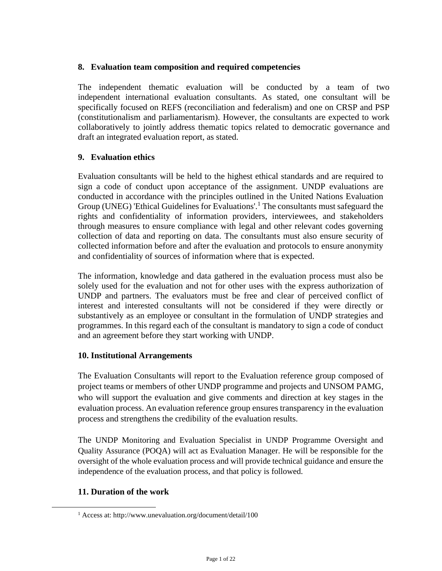#### **8. Evaluation team composition and required competencies**

The independent thematic evaluation will be conducted by a team of two independent international evaluation consultants. As stated, one consultant will be specifically focused on REFS (reconciliation and federalism) and one on CRSP and PSP (constitutionalism and parliamentarism). However, the consultants are expected to work collaboratively to jointly address thematic topics related to democratic governance and draft an integrated evaluation report, as stated.

#### **9. Evaluation ethics**

Evaluation consultants will be held to the highest ethical standards and are required to sign a code of conduct upon acceptance of the assignment. UNDP evaluations are conducted in accordance with the principles outlined in the United Nations Evaluation Group (UNEG) 'Ethical Guidelines for Evaluations'.<sup>1</sup> The consultants must safeguard the rights and confidentiality of information providers, interviewees, and stakeholders through measures to ensure compliance with legal and other relevant codes governing collection of data and reporting on data. The consultants must also ensure security of collected information before and after the evaluation and protocols to ensure anonymity and confidentiality of sources of information where that is expected.

The information, knowledge and data gathered in the evaluation process must also be solely used for the evaluation and not for other uses with the express authorization of UNDP and partners. The evaluators must be free and clear of perceived conflict of interest and interested consultants will not be considered if they were directly or substantively as an employee or consultant in the formulation of UNDP strategies and programmes. In this regard each of the consultant is mandatory to sign a code of conduct and an agreement before they start working with UNDP.

## **10. Institutional Arrangements**

The Evaluation Consultants will report to the Evaluation reference group composed of project teams or members of other UNDP programme and projects and UNSOM PAMG, who will support the evaluation and give comments and direction at key stages in the evaluation process. An evaluation reference group ensures transparency in the evaluation process and strengthens the credibility of the evaluation results.

The UNDP Monitoring and Evaluation Specialist in UNDP Programme Oversight and Quality Assurance (POQA) will act as Evaluation Manager. He will be responsible for the oversight of the whole evaluation process and will provide technical guidance and ensure the independence of the evaluation process, and that policy is followed.

## **11. Duration of the work**

<sup>1</sup> Access at: http://www.unevaluation.org/document/detail/100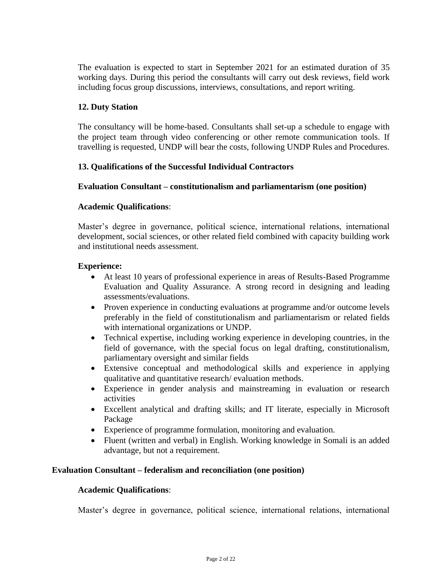The evaluation is expected to start in September 2021 for an estimated duration of 35 working days. During this period the consultants will carry out desk reviews, field work including focus group discussions, interviews, consultations, and report writing.

### **12. Duty Station**

The consultancy will be home-based. Consultants shall set-up a schedule to engage with the project team through video conferencing or other remote communication tools. If travelling is requested, UNDP will bear the costs, following UNDP Rules and Procedures.

#### **13. Qualifications of the Successful Individual Contractors**

#### **Evaluation Consultant – constitutionalism and parliamentarism (one position)**

#### **Academic Qualifications**:

Master's degree in governance, political science, international relations, international development, social sciences, or other related field combined with capacity building work and institutional needs assessment.

#### **Experience:**

- At least 10 years of professional experience in areas of Results-Based Programme Evaluation and Quality Assurance. A strong record in designing and leading assessments/evaluations.
- Proven experience in conducting evaluations at programme and/or outcome levels preferably in the field of constitutionalism and parliamentarism or related fields with international organizations or UNDP.
- Technical expertise, including working experience in developing countries, in the field of governance, with the special focus on legal drafting, constitutionalism, parliamentary oversight and similar fields
- Extensive conceptual and methodological skills and experience in applying qualitative and quantitative research/ evaluation methods.
- Experience in gender analysis and mainstreaming in evaluation or research activities
- Excellent analytical and drafting skills; and IT literate, especially in Microsoft Package
- Experience of programme formulation, monitoring and evaluation.
- Fluent (written and verbal) in English. Working knowledge in Somali is an added advantage, but not a requirement.

#### **Evaluation Consultant – federalism and reconciliation (one position)**

#### **Academic Qualifications**:

Master's degree in governance, political science, international relations, international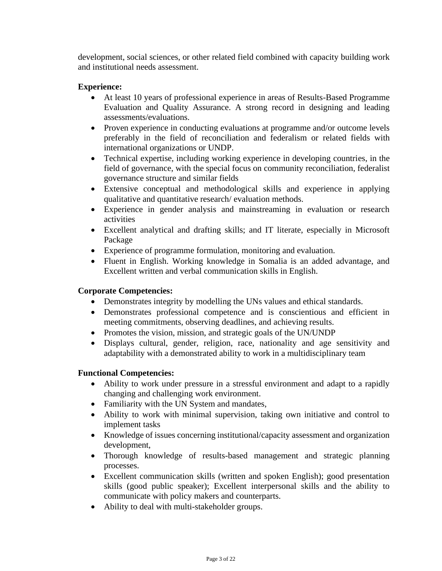development, social sciences, or other related field combined with capacity building work and institutional needs assessment.

### **Experience:**

- At least 10 years of professional experience in areas of Results-Based Programme Evaluation and Quality Assurance. A strong record in designing and leading assessments/evaluations.
- Proven experience in conducting evaluations at programme and/or outcome levels preferably in the field of reconciliation and federalism or related fields with international organizations or UNDP.
- Technical expertise, including working experience in developing countries, in the field of governance, with the special focus on community reconciliation, federalist governance structure and similar fields
- Extensive conceptual and methodological skills and experience in applying qualitative and quantitative research/ evaluation methods.
- Experience in gender analysis and mainstreaming in evaluation or research activities
- Excellent analytical and drafting skills; and IT literate, especially in Microsoft Package
- Experience of programme formulation, monitoring and evaluation.
- Fluent in English. Working knowledge in Somalia is an added advantage, and Excellent written and verbal communication skills in English.

#### **Corporate Competencies:**

- Demonstrates integrity by modelling the UNs values and ethical standards.
- Demonstrates professional competence and is conscientious and efficient in meeting commitments, observing deadlines, and achieving results.
- Promotes the vision, mission, and strategic goals of the UN/UNDP
- Displays cultural, gender, religion, race, nationality and age sensitivity and adaptability with a demonstrated ability to work in a multidisciplinary team

#### **Functional Competencies:**

- Ability to work under pressure in a stressful environment and adapt to a rapidly changing and challenging work environment.
- Familiarity with the UN System and mandates,
- Ability to work with minimal supervision, taking own initiative and control to implement tasks
- Knowledge of issues concerning institutional/capacity assessment and organization development,
- Thorough knowledge of results-based management and strategic planning processes.
- Excellent communication skills (written and spoken English); good presentation skills (good public speaker); Excellent interpersonal skills and the ability to communicate with policy makers and counterparts.
- Ability to deal with multi-stakeholder groups.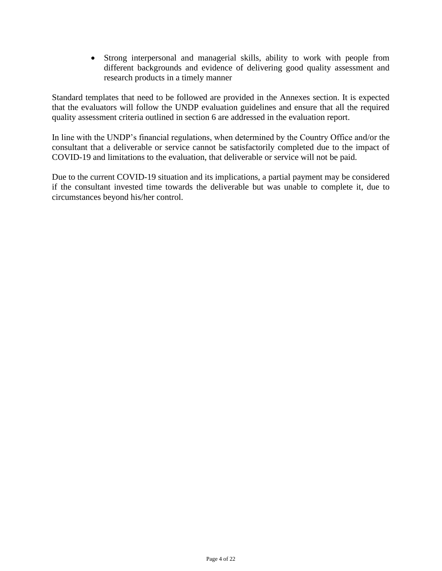• Strong interpersonal and managerial skills, ability to work with people from different backgrounds and evidence of delivering good quality assessment and research products in a timely manner

Standard templates that need to be followed are provided in the Annexes section. It is expected that the evaluators will follow the UNDP evaluation guidelines and ensure that all the required quality assessment criteria outlined in section 6 are addressed in the evaluation report.

In line with the UNDP's financial regulations, when determined by the Country Office and/or the consultant that a deliverable or service cannot be satisfactorily completed due to the impact of COVID-19 and limitations to the evaluation, that deliverable or service will not be paid.

Due to the current COVID-19 situation and its implications, a partial payment may be considered if the consultant invested time towards the deliverable but was unable to complete it, due to circumstances beyond his/her control.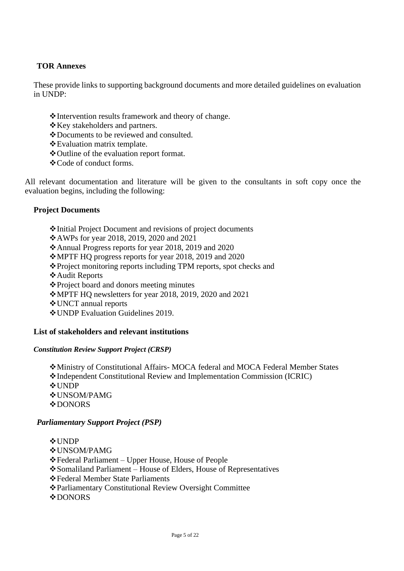## **TOR Annexes**

These provide links to supporting background documents and more detailed guidelines on evaluation in UNDP:

- ❖Intervention results framework and theory of change.
- ❖Key stakeholders and partners.
- ❖Documents to be reviewed and consulted.
- ❖Evaluation matrix template.
- ❖Outline of the evaluation report format.
- ❖Code of conduct forms.

All relevant documentation and literature will be given to the consultants in soft copy once the evaluation begins, including the following:

#### **Project Documents**

❖Initial Project Document and revisions of project documents

❖AWPs for year 2018, 2019, 2020 and 2021

❖Annual Progress reports for year 2018, 2019 and 2020

❖MPTF HQ progress reports for year 2018, 2019 and 2020

- ❖Project monitoring reports including TPM reports, spot checks and
- ❖Audit Reports

❖Project board and donors meeting minutes

❖MPTF HQ newsletters for year 2018, 2019, 2020 and 2021

❖UNCT annual reports

❖UNDP Evaluation Guidelines 2019.

#### **List of stakeholders and relevant institutions**

#### *Constitution Review Support Project (CRSP)*

❖Ministry of Constitutional Affairs- MOCA federal and MOCA Federal Member States ❖Independent Constitutional Review and Implementation Commission (ICRIC) ❖UNDP ❖UNSOM/PAMG ❖DONORS

## *Parliamentary Support Project (PSP)*

❖UNDP ❖UNSOM/PAMG ❖Federal Parliament – Upper House, House of People ❖Somaliland Parliament – House of Elders, House of Representatives ❖Federal Member State Parliaments ❖Parliamentary Constitutional Review Oversight Committee **❖DONORS**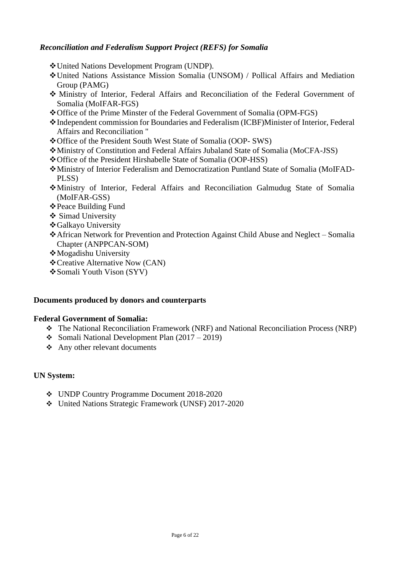## *Reconciliation and Federalism Support Project (REFS) for Somalia*

- ❖United Nations Development Program (UNDP).
- ❖United Nations Assistance Mission Somalia (UNSOM) / Pollical Affairs and Mediation Group (PAMG)
- ❖ Ministry of Interior, Federal Affairs and Reconciliation of the Federal Government of Somalia (MoIFAR-FGS)
- ❖Office of the Prime Minster of the Federal Government of Somalia (OPM-FGS)
- ❖Independent commission for Boundaries and Federalism (ICBF)Minister of Interior, Federal Affairs and Reconciliation "
- ❖Office of the President South West State of Somalia (OOP- SWS)
- ❖Ministry of Constitution and Federal Affairs Jubaland State of Somalia (MoCFA-JSS)
- ❖Office of the President Hirshabelle State of Somalia (OOP-HSS)
- ❖Ministry of Interior Federalism and Democratization Puntland State of Somalia (MoIFAD-PLSS)
- ❖Ministry of Interior, Federal Affairs and Reconciliation Galmudug State of Somalia (MoIFAR-GSS)
- ❖Peace Building Fund
- ❖ Simad University
- ❖Galkayo University
- ❖African Network for Prevention and Protection Against Child Abuse and Neglect Somalia Chapter (ANPPCAN-SOM)
- ❖Mogadishu University
- ❖Creative Alternative Now (CAN)
- ❖Somali Youth Vison (SYV)

#### **Documents produced by donors and counterparts**

#### **Federal Government of Somalia:**

- ❖ The National Reconciliation Framework (NRF) and National Reconciliation Process (NRP)
- ❖ Somali National Development Plan (2017 2019)
- ❖ Any other relevant documents

## **UN System:**

- ❖ UNDP Country Programme Document 2018-2020
- ❖ United Nations Strategic Framework (UNSF) 2017-2020